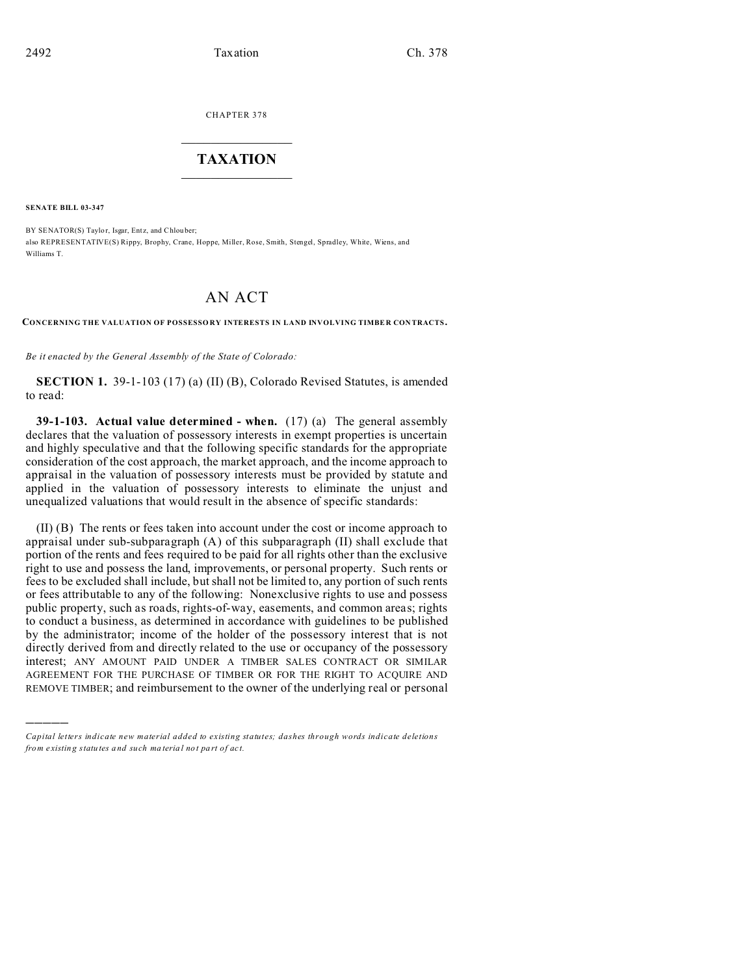CHAPTER 378  $\overline{\phantom{a}}$  , where  $\overline{\phantom{a}}$ 

## **TAXATION**  $\_$

**SENATE BILL 03-347**

)))))

BY SENATOR(S) Taylor, Isgar, Entz, and Chlouber; also REPRESENTATIVE(S) Rippy, Brophy, Crane, Hoppe, Miller, Rose, Smith, Stengel, Spradley, White, Wiens, and Williams T.

## AN ACT

**CONCERNING THE VALUATION OF POSSESSO RY INTERESTS IN LAND INVOLVING TIMBE R CON TRACTS.**

*Be it enacted by the General Assembly of the State of Colorado:*

**SECTION 1.** 39-1-103 (17) (a) (II) (B), Colorado Revised Statutes, is amended to read:

**39-1-103. Actual value determined - when.** (17) (a) The general assembly declares that the valuation of possessory interests in exempt properties is uncertain and highly speculative and that the following specific standards for the appropriate consideration of the cost approach, the market approach, and the income approach to appraisal in the valuation of possessory interests must be provided by statute and applied in the valuation of possessory interests to eliminate the unjust and unequalized valuations that would result in the absence of specific standards:

(II) (B) The rents or fees taken into account under the cost or income approach to appraisal under sub-subparagraph (A) of this subparagraph (II) shall exclude that portion of the rents and fees required to be paid for all rights other than the exclusive right to use and possess the land, improvements, or personal property. Such rents or fees to be excluded shall include, but shall not be limited to, any portion of such rents or fees attributable to any of the following: Nonexclusive rights to use and possess public property, such as roads, rights-of-way, easements, and common areas; rights to conduct a business, as determined in accordance with guidelines to be published by the administrator; income of the holder of the possessory interest that is not directly derived from and directly related to the use or occupancy of the possessory interest; ANY AMOUNT PAID UNDER A TIMBER SALES CONTRACT OR SIMILAR AGREEMENT FOR THE PURCHASE OF TIMBER OR FOR THE RIGHT TO ACQUIRE AND REMOVE TIMBER; and reimbursement to the owner of the underlying real or personal

*Capital letters indicate new material added to existing statutes; dashes through words indicate deletions from e xistin g statu tes a nd such ma teria l no t pa rt of ac t.*